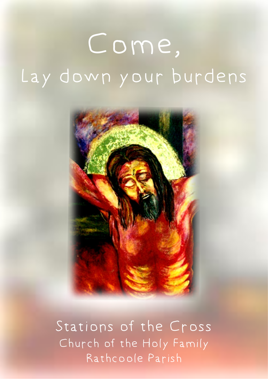# Come, Lay down your burdens



Stations of the Cross Church of the Holy Family Rathcoole Parish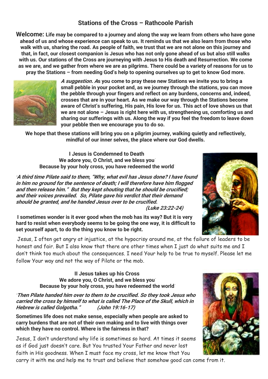# **Stations of the Cross – Rathcoole Parish**

**Welcome:** Life may be compared to a journey and along the way we learn from others who have gone ahead of us and whose experience can speak to us. It reminds us that we also learn from those who walk with us, sharing the road. As people of faith, we trust that we are not alone on this journey and that, in fact, our closest companion is Jesus who has not only gone ahead of us but also still walks with us. Our stations of the Cross are journeying with Jesus to His death and Resurrection. We come as we are, and we gather from where we are as pilgrims. There could be a variety of reasons for us to pray the Stations – from needing God's help to opening ourselves up to get to know God more.



**A suggestion. As you come to pray these new Stations we invite you to bring a small pebble in your pocket and, as we journey through the stations, you can move the pebble through your fingers and reflect on any burdens, concerns and, indeed, crosses that are in your heart. As we make our way through the Stations become aware of Christ's suffering, His pain, His love for us. This act of love shows us that we are not alone – Jesus is right here with us, strengthening us, comforting us and sharing our sufferings with us. Along the way if you feel the freedom to leave down your pebble then we encourage you to do so.**

We hope that these stations will bring you on a pilgrim journey, walking quietly and reflectively, mindful of our inner selves, the place where our God dwells.

**I Jesus is Condemned to Death** We adore you, O Christ, and we bless you Because by your holy cross, you have redeemed the world

"A third time Pilate said to them, "Why, what evil has Jesus done? I have found in him no ground for the sentence of death; I will therefore have him flogged and then release him." But they kept shouting that he should be crucified; and their voices prevailed. So, Pilate gave his verdict that their demand should be granted, and he handed Jesus over to be crucified. (Luke 23:22-24)

I sometimes wonder is it ever good when the mob has its way? But it is very hard to resist when everybody seems to be going the one way, it is difficult to set yourself apart, to do the thing you know to be right.

Jesus, I often get angry at injustice, at the hypocrisy around me, at the failure of leaders to be honest and fair. But I also know that there are other times when I just do what suits me and I don't think too much about the consequences. I need Your help to be true to myself. Please let me follow Your way and not the way of Pilate or the mob.

**II Jesus takes up his Cross** We adore you, O Christ, and we bless you Because by your holy cross, you have redeemed the world

"Then Pilate handed him over to them to be crucified. So they took Jesus who carried the cross by himself to what is called The Place of the Skull, which in Hebrew is called Golgotha." (John 19:16-17)

Sometimes life does not make sense, especially when people are asked to carry burdens that are not of their own making and to live with things over which they have no control. Where is the fairness in that?

Jesus, I don't understand why life is sometimes so hard. At times it seems as if God just doesn't care. But You trusted Your Father and never lost faith in His goodness. When I must face my cross, let me know that You

carry it with me and help me to trust and believe that somehow good can come from it.



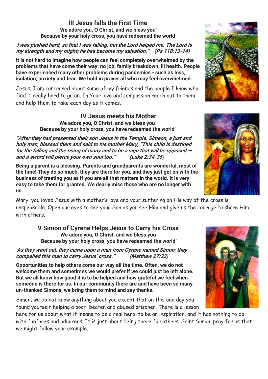#### **III Jesus falls the First Time** We adore you, O Christ, and we bless you Because by your holy cross, you have redeemed the world

#### I was pushed hard, so that I was falling, but the Lord helped me. The Lord is my strength and my might; he has become my salvation." (Ps 118:13-14)

It is not hard to imagine how people can feel completely overwhelmed by the problems that have come their way: no job, family breakdown, ill health. People have experienced many other problems during pandemics - such as loss, isolation, anxiety and fear. We hold in prayer all who may feel overwhelmed.

Jesus, I am concerned about some of my friends and the people I know who find it really hard to go on. In Your love and compassion reach out to them and help them to take each day as it comes.

# **IV Jesus meets his Mother**

We adore you, O Christ, and we bless you Because by your holy cross, you have redeemed the world

"After they had presented their son Jesus in the Temple, Simeon, a just and holy man, blessed them and said to his mother Mary, "This child is destined for the falling and the rising of many and to be a sign that will be opposed and a sword will pierce your own soul too." (Luke 2:34-35)

Being a parent is a blessing. Parents and grandparents are wonderful, most of the time! They do so much, they are there for you, and they just get on with the business of treating you as if you are all that matters in the world. It is very easy to take them for granted. We dearly miss those who are no longer with us.

Mary, you loved Jesus with a mother's love and your suffering on His way of the cross is unspeakable. Open our eyes to see your Son as you see Him and give us the courage to share Him with others.

**V Simon of Cyrene Helps Jesus to Carry his Cross** We adore you, O Christ, and we bless you Because by your holy cross, you have redeemed the world

"As they went out, they came upon a man from Cyrene named Simon; they compelled this man to carry Jesus' cross." (Matthew 27:32)

Opportunities to help others come our way all the time. Often, we do not welcome them and sometimes we would prefer if we could just be left alone. But we all know how good it is to be helped and how grateful we feel when someone is there for us. In our community there are and have been so many un-thanked Simons, we bring them to mind and say thanks.

Simon, we do not know anything about you except that on this one day you found yourself helping a poor, beaten and abused prisoner. There is a lesson

here for us about what it means to be a real hero, to be an inspiration, and it has nothing to do with fanfares and admirers. It is just about being there for others. Saint Simon, pray for us that we might follow your example.





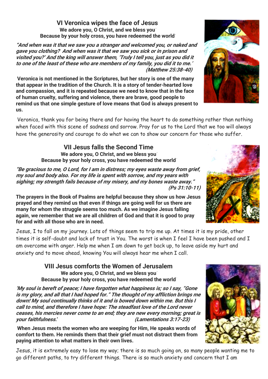## **VI Veronica wipes the face of Jesus** We adore you, O Christ, and we bless you Because by your holy cross, you have redeemed the world

"And when was it that we saw you a stranger and welcomed you, or naked and gave you clothing? And when was it that we saw you sick or in prison and visited you?' And the king will answer them, 'Truly I tell you, just as you did it to one of the least of these who are members of my family, you did it to me.' (Matthew 25:38-40)

Veronica is not mentioned in the Scriptures, but her story is one of the many that appear in the tradition of the Church. It is a story of tender-hearted love and compassion, and it is repeated because we need to know that in the face of human cruelty, suffering and violence, there are brave, good people to remind us that one simple gesture of love means that God is always present to us.

Veronica, thank you for being there and for having the heart to do something rather than nothing when faced with this scene of sadness and sorrow. Pray for us to the Lord that we too will always have the generosity and courage to do what we can to show our concern for those who suffer.

> **VII Jesus falls the Second Time** We adore you, O Christ, and we bless you Because by your holy cross, you have redeemed the world

"Be gracious to me, O Lord, for I am in distress; my eyes waste away from grief, my soul and body also. For my life is spent with sorrow, and my years with sighing; my strength fails because of my misery, and my bones waste away." (Ps 31:10-11)

The prayers in the Book of Psalms are helpful because they show us how Jesus prayed and they remind us that even if things are going well for us there are many for whom the struggle seems too much. As we imagine Jesus falling again, we remember that we are all children of God and that it is good to pray for and with all those who are in need.

Jesus, I to fall on my journey. Lots of things seem to trip me up. At times it is my pride, other times it is self-doubt and lack of trust in You. The worst is when I feel I have been pushed and I am overcome with anger. Help me when I am down to get back up, to leave aside my hurt and anxiety and to move ahead, knowing You will always hear me when I call.

> **VIII Jesus comforts the Women of Jerusalem** We adore you, O Christ, and we bless you Because by your holy cross, you have redeemed the world

'My soul is bereft of peace; I have forgotten what happiness is; so I say, "Gone is my glory, and all that I had hoped for." The thought of my affliction brings me down! My soul continually thinks of it and is bowed down within me. But this I call to mind, and therefore I have hope: The steadfast love of the Lord never ceases, his mercies never come to an end; they are new every morning; great is your faithfulness.' (Lamentations 3:17-23)

When Jesus meets the women who are weeping for Him, He speaks words of comfort to them. He reminds them that their grief must not distract them from paying attention to what matters in their own lives.

Jesus, it is extremely easy to lose my way; there is so much going on, so many people wanting me to go different paths, to try different things. There is so much anxiety and concern that I am





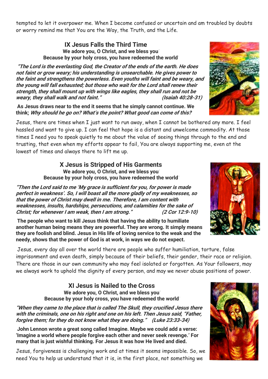tempted to let it overpower me. When I become confused or uncertain and am troubled by doubts or worry remind me that You are the Way, the Truth, and the Life.

#### **IX Jesus Falls the Third Time** We adore you, O Christ, and we bless you Because by your holy cross, you have redeemed the world

"The Lord is the everlasting God, the Creator of the ends of the earth. He does not faint or grow weary; his understanding is unsearchable. He gives power to the faint and strengthens the powerless. Even youths will faint and be weary, and the young will fall exhausted; but those who wait for the Lord shall renew their strength, they shall mount up with wings like eagles, they shall run and not be weary, they shall walk and not faint." (Isaiah 40:28-31)

As Jesus draws near to the end it seems that he simply cannot continue. We think; Why should he go on? What's the point? What good can come of this?

Jesus, there are times when I just want to run away, when I cannot be bothered any more. I feel hassled and want to give up. I can feel that hope is a distant and unwelcome commodity. At those times I need you to speak quietly to me about the value of seeing things through to the end and trusting, that even when my efforts appear to fail, You are always supporting me, even at the lowest of times and always there to lift me up.

> **X Jesus is Stripped of His Garments** We adore you, O Christ, and we bless you Because by your holy cross, you have redeemed the world

"Then the Lord said to me 'My grace is sufficient for you, for power is made perfect in weakness'. So, I will boast all the more gladly of my weaknesses, so that the power of Christ may dwell in me. Therefore, I am content with weaknesses, insults, hardships, persecutions, and calamities for the sake of Christ; for whenever I am weak, then I am strong." (2 Cor 12:9-10)

The people who want to kill Jesus think that having the ability to humiliate another human being means they are powerful. They are wrong. It simply means they are foolish and blind. Jesus in His life of loving service to the weak and the needy, shows that the power of God is at work, in ways we do not expect.

Jesus, every day all over the world there are people who suffer humiliation, torture, false imprisonment and even death, simply because of their beliefs, their gender, their race or religion. There are those in our own community who may feel isolated or forgotten. As Your followers, may we always work to uphold the dignity of every person, and may we never abuse positions of power.

> **XI Jesus is Nailed to the Cross** We adore you, O Christ, and we bless you Because by your holy cross, you have redeemed the world

"When they came to the place that is called The Skull, they crucified Jesus there with the criminals, one on his right and one on his left. Then Jesus said, "Father, forgive them; for they do not know what they are doing." (Luke 23:33-34)

John Lennon wrote a great song called Imagine. Maybe we could add a verse: 'Imagine a world where people forgive each other and never seek revenge.' For many that is just wishful thinking. For Jesus it was how He lived and died.

Jesus, forgiveness is challenging work and at times it seems impossible. So, we need You to help us understand that it is, in the first place, not something we





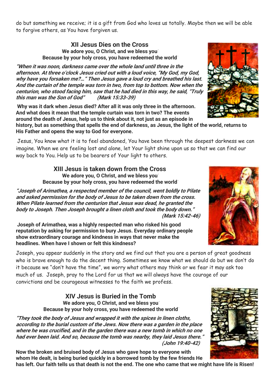do but something we receive; it is a gift from God who loves us totally. Maybe then we will be able to forgive others, as You have forgiven us.

## **XII Jesus Dies on the Cross** We adore you, O Christ, and we bless you Because by your holy cross, you have redeemed the world

"When it was noon, darkness came over the whole land until three in the afternoon. At three o'clock Jesus cried out with a loud voice, "My God, my God, why have you forsaken me?…" Then Jesus gave a loud cry and breathed his last. And the curtain of the temple was torn in two, from top to bottom. Now when the centurion, who stood facing him, saw that he had died in this way, he said, "Truly this man was the Son of God" (Mark 15:33-39)

Why was it dark when Jesus died? After all it was only three in the afternoon. And what does it mean that the temple curtain was torn in two? The events around the death of Jesus, help us to think about it, not just as an episode in

history, but as something that spells the end of darkness, as Jesus, the light of the world, returns to His Father and opens the way to God for everyone.

Jesus, You know what it is to feel abandoned, You have been through the deepest darkness we can imagine. When we are feeling lost and alone, let Your light shine upon us so that we can find our way back to You. Help us to be bearers of Your light to others.

> **XIII Jesus is taken down from the Cross** We adore you, O Christ, and we bless you Because by your holy cross, you have redeemed the world

"Joseph of Arimathea, a respected member of the council, went boldly to Pilate and asked permission for the body of Jesus to be taken down from the cross. When Pilate learned from the centurion that Jesus was dead, he granted the body to Joseph. Then Joseph brought a linen cloth and took the body down." (Mark 15:42-46)

Joseph of Arimathea, was a highly respected man who risked his good reputation by asking for permission to bury Jesus. Everyday ordinary people show extraordinary courage and kindness in ways that never make the headlines. When have I shown or felt this kindness?

Joseph, you appear suddenly in the story and we find out that you are a person of great goodness who is brave enough to do the decent thing. Sometimes we know what we should do but we don't do it because we "don't have the time", we worry what others may think or we fear it may ask too much of us. Joseph, pray to the Lord for us that we will always have the courage of our convictions and be courageous witnesses to the faith we profess.

> **XIV Jesus is Buried in the Tomb** We adore you, O Christ, and we bless you Because by your holy cross, you have redeemed the world

"They took the body of Jesus and wrapped it with the spices in linen cloths, according to the burial custom of the Jews. Now there was a garden in the place where he was crucified, and in the garden there was a new tomb in which no one had ever been laid. And so, because the tomb was nearby, they laid Jesus there.' (John 19:40-42)

Now the broken and bruised body of Jesus who gave hope to everyone with whom He dealt, is being buried quickly in a borrowed tomb by the few friends He has left. Our faith tells us that death is not the end. The one who came that we might have life is Risen!







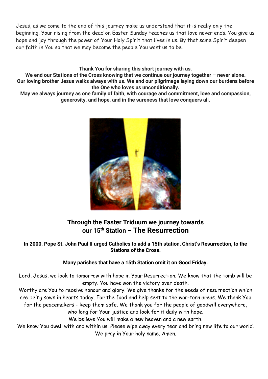Jesus, as we come to the end of this journey make us understand that it is really only the beginning. Your rising from the dead on Easter Sunday teaches us that love never ends. You give us hope and joy through the power of Your Holy Spirit that lives in us. By that same Spirit deepen our faith in You so that we may become the people You want us to be.

**Thank You** for sharing this short journey with us.

We end our Stations of the Cross knowing that we continue our journey together – never alone. Our loving brother Jesus walks always with us. We end our pilgrimage laying down our burdens before the One who loves us unconditionally.

May we always journey as one family of faith, with courage and commitment, love and compassion, generosity, and hope, and in the sureness that love conquers all.



# **Through the Easter Triduum we journey towards our 15th Station – The Resurrection**

## In 2000, Pope St. John Paul II urged Catholics to add a 15th station, Christ's Resurrection, to the Stations of the Cross.

## Many parishes that have a 15th Station omit it on Good Friday.

Lord, Jesus, we look to tomorrow with hope in Your Resurrection. We know that the tomb will be empty. You have won the victory over death.

Worthy are You to receive honour and glory. We give thanks for the seeds of resurrection which are being sown in hearts today. For the food and help sent to the war-torn areas. We thank You for the peacemakers - keep them safe. We thank you for the people of goodwill everywhere,

who long for Your justice and look for it daily with hope.

We believe You will make a new heaven and a new earth.

We know You dwell with and within us. Please wipe away every tear and bring new life to our world. We pray in Your holy name. Amen.